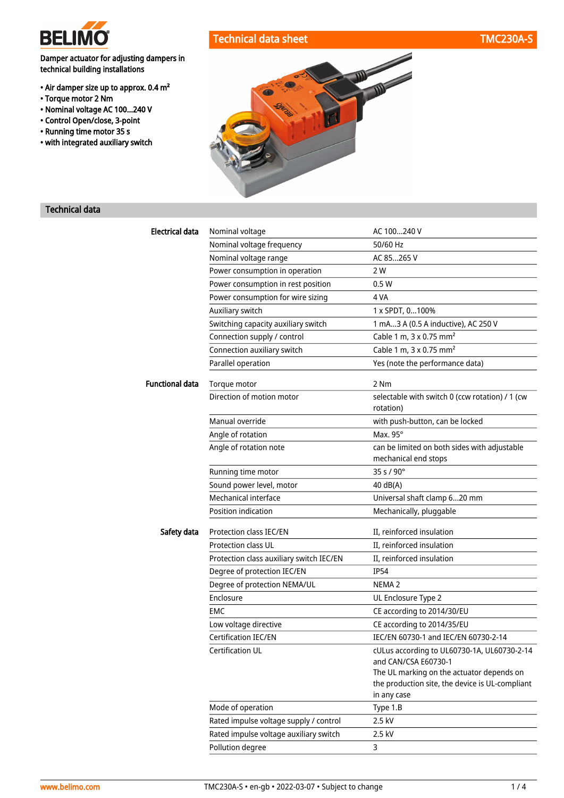

### Damper actuator for adjusting dampers in technical building installations

- Air damper size up to approx. 0.4 m²
- Torque motor 2 Nm
- Nominal voltage AC 100...240 V
- Control Open/close, 3-point
- Running time motor 35 s
- with integrated auxiliary switch



## Technical data

| <b>Electrical data</b> | Nominal voltage                          | AC 100240 V                                                                                  |
|------------------------|------------------------------------------|----------------------------------------------------------------------------------------------|
|                        | Nominal voltage frequency                | 50/60 Hz                                                                                     |
|                        | Nominal voltage range                    | AC 85265 V                                                                                   |
|                        | Power consumption in operation           | 2 W                                                                                          |
|                        | Power consumption in rest position       | 0.5W                                                                                         |
|                        | Power consumption for wire sizing        | 4 VA                                                                                         |
|                        | Auxiliary switch                         | 1 x SPDT, 0100%                                                                              |
|                        | Switching capacity auxiliary switch      | 1 mA3 A (0.5 A inductive), AC 250 V                                                          |
|                        | Connection supply / control              | Cable 1 m, 3 x 0.75 mm <sup>2</sup>                                                          |
|                        | Connection auxiliary switch              | Cable 1 m, 3 x 0.75 mm <sup>2</sup>                                                          |
|                        | Parallel operation                       | Yes (note the performance data)                                                              |
| <b>Functional data</b> | Torque motor                             | 2 Nm                                                                                         |
|                        | Direction of motion motor                | selectable with switch 0 (ccw rotation) / 1 (cw<br>rotation)                                 |
|                        | Manual override                          | with push-button, can be locked                                                              |
|                        | Angle of rotation                        | Max. 95°                                                                                     |
|                        | Angle of rotation note                   | can be limited on both sides with adjustable<br>mechanical end stops                         |
|                        | Running time motor                       | 35 s / 90°                                                                                   |
|                        | Sound power level, motor                 | 40 dB(A)                                                                                     |
|                        | Mechanical interface                     | Universal shaft clamp 620 mm                                                                 |
|                        | Position indication                      | Mechanically, pluggable                                                                      |
|                        |                                          |                                                                                              |
| Safety data            | Protection class IEC/EN                  | II, reinforced insulation                                                                    |
|                        | Protection class UL                      | II, reinforced insulation                                                                    |
|                        | Protection class auxiliary switch IEC/EN | II, reinforced insulation                                                                    |
|                        | Degree of protection IEC/EN              | <b>IP54</b>                                                                                  |
|                        | Degree of protection NEMA/UL             | NEMA <sub>2</sub>                                                                            |
|                        | Enclosure                                | UL Enclosure Type 2                                                                          |
|                        | EMC                                      | CE according to 2014/30/EU                                                                   |
|                        | Low voltage directive                    | CE according to 2014/35/EU                                                                   |
|                        | <b>Certification IEC/EN</b>              | IEC/EN 60730-1 and IEC/EN 60730-2-14                                                         |
|                        | Certification UL                         | cULus according to UL60730-1A, UL60730-2-14                                                  |
|                        |                                          | and CAN/CSA E60730-1                                                                         |
|                        |                                          | The UL marking on the actuator depends on<br>the production site, the device is UL-compliant |
|                        |                                          | in any case                                                                                  |
|                        | Mode of operation                        | Type 1.B                                                                                     |
|                        | Rated impulse voltage supply / control   | 2.5 kV                                                                                       |
|                        | Rated impulse voltage auxiliary switch   | 2.5 kV                                                                                       |
|                        | Pollution degree                         | 3                                                                                            |
|                        |                                          |                                                                                              |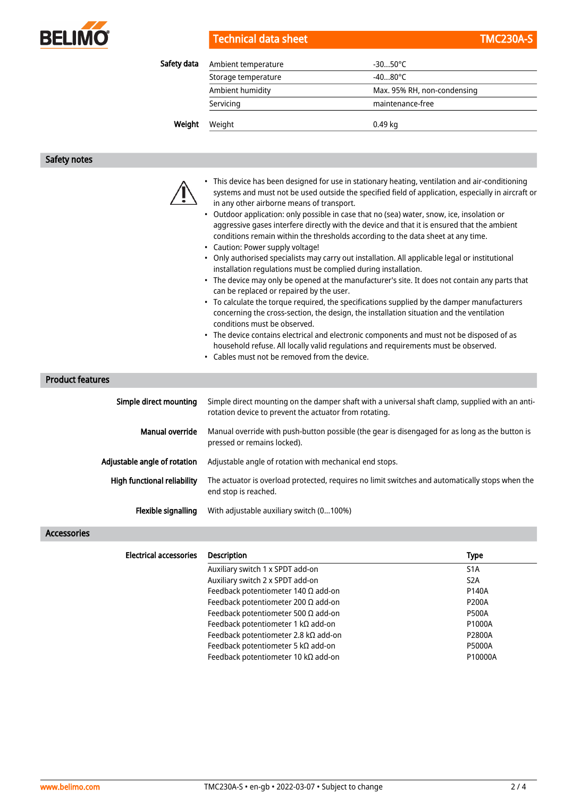

|  |  |  | Technical data sheet |
|--|--|--|----------------------|
|  |  |  |                      |

| Safety data | Ambient temperature | -30…50°C                    |  |
|-------------|---------------------|-----------------------------|--|
|             | Storage temperature | $-4080^{\circ}$ C           |  |
|             | Ambient humidity    | Max. 95% RH, non-condensing |  |
|             | Servicing           | maintenance-free            |  |
| Weight      | Weight              | 0.49 kg                     |  |
|             |                     |                             |  |

#### Safety notes

- This device has been designed for use in stationary heating, ventilation and air-conditioning systems and must not be used outside the specified field of application, especially in aircraft or in any other airborne means of transport.
- Outdoor application: only possible in case that no (sea) water, snow, ice, insolation or aggressive gases interfere directly with the device and that it is ensured that the ambient conditions remain within the thresholds according to the data sheet at any time.
- Caution: Power supply voltage!
- Only authorised specialists may carry out installation. All applicable legal or institutional installation regulations must be complied during installation.
- The device may only be opened at the manufacturer's site. It does not contain any parts that can be replaced or repaired by the user.
- To calculate the torque required, the specifications supplied by the damper manufacturers concerning the cross-section, the design, the installation situation and the ventilation conditions must be observed.
- The device contains electrical and electronic components and must not be disposed of as household refuse. All locally valid regulations and requirements must be observed.
- Cables must not be removed from the device.

#### Product features

| Simple direct mounting       | Simple direct mounting on the damper shaft with a universal shaft clamp, supplied with an anti-<br>rotation device to prevent the actuator from rotating. |
|------------------------------|-----------------------------------------------------------------------------------------------------------------------------------------------------------|
| Manual override              | Manual override with push-button possible (the gear is disengaged for as long as the button is<br>pressed or remains locked).                             |
| Adjustable angle of rotation | Adjustable angle of rotation with mechanical end stops.                                                                                                   |
| High functional reliability  | The actuator is overload protected, requires no limit switches and automatically stops when the<br>end stop is reached.                                   |
| Flexible signalling          | With adjustable auxiliary switch (0100%)                                                                                                                  |

#### Accessories

| <b>Electrical accessories</b> | <b>Description</b>                           | <b>Type</b>      |
|-------------------------------|----------------------------------------------|------------------|
|                               | Auxiliary switch 1 x SPDT add-on             | S <sub>1</sub> A |
|                               | Auxiliary switch 2 x SPDT add-on             | S <sub>2</sub> A |
|                               | Feedback potentiometer 140 $\Omega$ add-on   | P140A            |
|                               | Feedback potentiometer 200 $\Omega$ add-on   | <b>P200A</b>     |
|                               | Feedback potentiometer 500 $\Omega$ add-on   | <b>P500A</b>     |
|                               | Feedback potentiometer 1 k $\Omega$ add-on   | P1000A           |
|                               | Feedback potentiometer 2.8 k $\Omega$ add-on | P2800A           |
|                               | Feedback potentiometer 5 k $\Omega$ add-on   | <b>P5000A</b>    |
|                               | Feedback potentiometer 10 kΩ add-on          | P10000A          |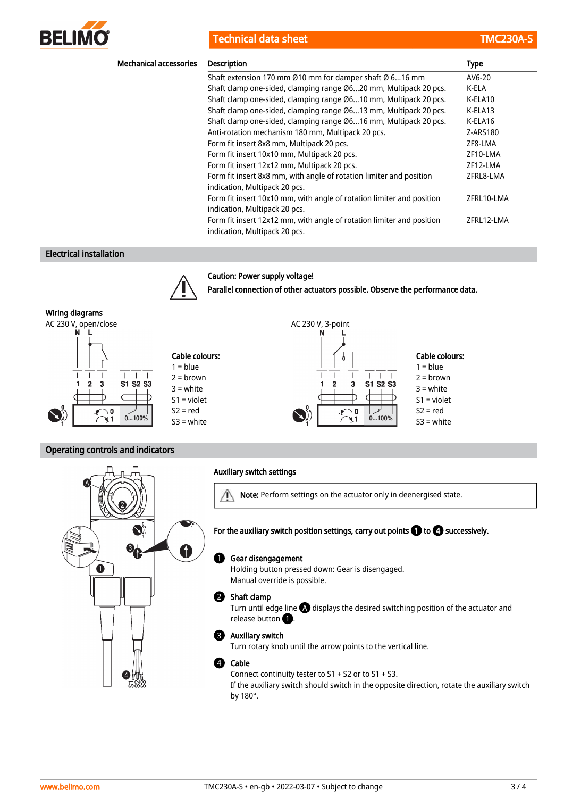

Technical data sheet TMC230A-Sheet TMC230A-Sheet TMC230A-Sheet TMC230A-Sheet TMC230A-Sheet TMC230A-Sheet TMC230A-Sheet TMC230A-Sheet TMC230A-Sheet TMC230A-Sheet TMC230A-Sheet TMC230A-Sheet TMC230A-Sheet TMC230A-Sheet TMC23

| <b>Mechanical accessories</b> | <b>Description</b>                                                                                     | <b>Type</b> |
|-------------------------------|--------------------------------------------------------------------------------------------------------|-------------|
|                               | Shaft extension 170 mm Ø10 mm for damper shaft Ø 616 mm                                                | AV6-20      |
|                               | Shaft clamp one-sided, clamping range Ø620 mm, Multipack 20 pcs.                                       | K-ELA       |
|                               | Shaft clamp one-sided, clamping range Ø610 mm, Multipack 20 pcs.                                       | K-ELA10     |
|                               | Shaft clamp one-sided, clamping range Ø613 mm, Multipack 20 pcs.                                       | K-ELA13     |
|                               | Shaft clamp one-sided, clamping range Ø616 mm, Multipack 20 pcs.                                       | K-ELA16     |
|                               | Anti-rotation mechanism 180 mm, Multipack 20 pcs.                                                      | Z-ARS180    |
|                               | Form fit insert 8x8 mm, Multipack 20 pcs.                                                              | ZF8-LMA     |
|                               | Form fit insert 10x10 mm, Multipack 20 pcs.                                                            | ZF10-LMA    |
|                               | Form fit insert 12x12 mm, Multipack 20 pcs.                                                            | ZF12-LMA    |
|                               | Form fit insert 8x8 mm, with angle of rotation limiter and position<br>indication, Multipack 20 pcs.   | ZFRL8-LMA   |
|                               | Form fit insert 10x10 mm, with angle of rotation limiter and position<br>indication, Multipack 20 pcs. | ZFRL10-LMA  |
|                               | Form fit insert 12x12 mm, with angle of rotation limiter and position<br>indication, Multipack 20 pcs. | ZFRL12-LMA  |

Parallel connection of other actuators possible. Observe the performance data.

۸

3

O

 $\mathbf{L}$  $\Box$  $\blacksquare$ 

S1 S2 S3

 $0...1009$ 

N

Cable colours:  $1 = blue$ 2 = brown  $3 =$  white S1 = violet  $S2 = red$ S3 = white

#### Electrical installation



Caution: Power supply voltage!

#### Wiring diagrams

AC 230 V, open/close AC 230 V, 3-point



#### Operating controls and indicators



#### Auxiliary switch settings

 $\mathbb{A}$ Note: Perform settings on the actuator only in deenergised state.

#### For the auxiliary switch position settings, carry out points  $\bigcirc$  to  $\Omega$  successively.

#### Gear disengagement  $\bf{0}$

Holding button pressed down: Gear is disengaged. Manual override is possible.

#### 2 Shaft clamp

Turn until edge line  $\bigoplus$  displays the desired switching position of the actuator and release button  $\bullet$ .

#### Auxiliary switch 3

Turn rotary knob until the arrow points to the vertical line.

#### Cable 4

Connect continuity tester to S1 + S2 or to S1 + S3.

If the auxiliary switch should switch in the opposite direction, rotate the auxiliary switch by 180°.